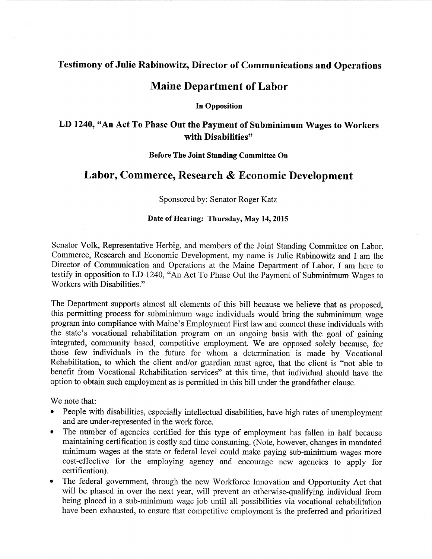### Testimony of Julie Rabinowitz, Director of Communications and Operations

### Maine Department of Labor

In Opposition

## LD 1240, "An Act To Phase Out the Payment of Subminimum Wages to Workers with Disabilities"

#### Before The Joint Standing Committee On

# Labor, Commerce, Research & Economic Development

Sponsored by: Senator Roger Katz

#### Date of Hearing: Thursday, May 14, 2015

Senator Volk, Representative Herbig, and members of the Joint Standing Committee on Labor, Commerce, Research and Economic Development, my name is Julie Rabinowitz and I am the Director of Communication and Operations at the Maine Department of Labor. I am here to testify in opposition to LD 1240, "An Act To Phase Out the Payment of Subminimum Wages to Workers with Disabilities.

The Department supports almost all elements of this bill because we believe that as proposed, this permitting process for subminimum wage individuals would bring the subminimum wage program into compliance with Maine's Employment First law and connect these individuals with the state's vocational rehabilitation program on an ongoing basis with the goal of gaining integrated, community based, competitive employment. We are opposed solely because, for those few individuals in the future for whom a determination is made by Vocational Rehabilitation, to which the client and/or guardian must agree, that the client is "not able to benefit from Vocational Rehabilitation services" at this time, that individual should have the option to obtain such employment as is permitted in this bill under the grandfather clause.

We note that:

- People with disabilities, especially intellectual disabilities, have high rates of unemployment and are under-represented in the work force.
- The number of agencies certified for this type of employment has fallen in half because maintaining certification is costly and time consuming. (Note, however, changes in mandated minimum wages at the state or federal level could make paying sub-minimum wages more cost-effective for the employing agency and encourage new agencies to apply for certification).
- The federal government, through the new Workforce Innovation and Opportunity Act that will be phased in over the next year, will prevent an otherwise-qualifying individual from being placed in a sub-minimum wage job until all possibilities via vocational rehabilitation have been exhausted, to ensure that competitive employment is the preferred and prioritized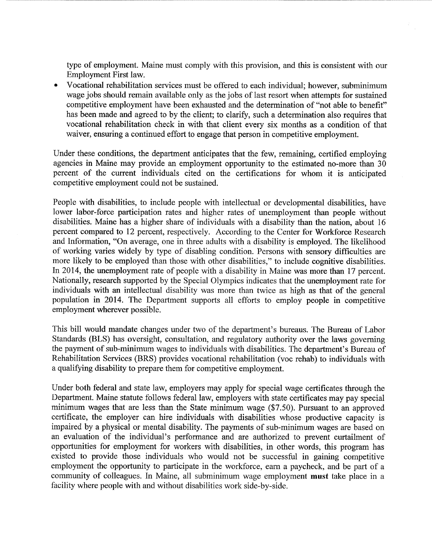type of employment. Maine must comply with this provision, and this is consistent with our Employment First law.

<sup>0</sup>Vocational rehabilitation services must be offered to each individual; however, subminimum wage jobs should remain available only as the jobs of last resort when attempts for sustained competitive employment have been exhausted and the determination of "not able to benefit" has been made and agreed to by the client; to clarify, such a determination also requires that vocational rehabilitation check in with that client every six months as a condition of that waiver, ensuring a continued effort to engage that person in competitive employment.

Under these conditions, the department anticipates that the few, remaining, certified employing agencies in Maine may provide an employment opportunity to the estimated no-more than 30 percent of the current individuals cited on the certifications for whom it is anticipated competitive employment could not be sustained.

People with disabilities, to include people with intellectual or developmental disabilities, have lower labor-force participation rates and higher rates of unemployment than people without disabilities. Maine has a higher share of individuals with a disability than the nation, about 16 percent compared to 12 percent, respectively. According to the Center for Workforce Research and Information, "On average, one in three adults with a disability is employed. The likelihood of working varies widely by type of disabling condition. Persons with sensory difficulties are more likely to be employed than those with other disabilities," to include cognitive disabilities. In 2014, the unemployment rate of people with a disability in Maine was more than l7 percent. Nationally, research supported by the Special Olympics indicates that the unemployment rate for individuals with an intellectual disability was more than twice as high as that of the general population in 2014. The Department supports all efforts to employ people in competitive employment wherever possible.

This bill would mandate changes under two of the department's bureaus. The Bureau of Labor Standards (BLS) has oversight, consultation, and regulatory authority over the laws governing the payment of sub-minimum wages to individuals with disabilities. The department's Bureau of Rehabilitation Services (BRS) provides vocational rehabilitation (voc rehab) to individuals with a qualifying disability to prepare them for competitive employment.

Under both federal and state law, employers may apply for special wage certificates through the Department. Maine statute follows federal law, employers with state certificates may pay special minimum wages that are less than the State minimum Wage (\$7.50). Pursuant to an approved certificate, the employer can hire individuals with disabilities whose productive capacity is impaired by a physical or mental disability. The payments of sub-minimum wages are based on an evaluation of the individual's performance and are authorized to prevent curtailment of opportunities for employment for workers with disabilities, in other words, this program has existed to provide those individuals who would not be successful in gaining competitive employment the opportunity to participate in the workforce, earn a paycheck, and be part of a community of colleagues. In Maine, all subminimum wage employment must take place in a facility where people with and without disabilities work side-by-side.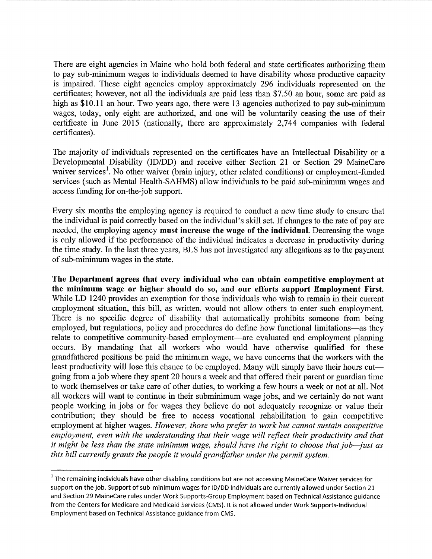There are eight agencies in Maine who hold both federal and state certificates authorizing them to pay sub-minimum wages to individuals deemed to have disability whose productive capacity is impaired. These eight agencies employ approximately 296 individuals represented on the certificates; however, not all the individuals are paid less than \$7.50 an hour, some are paid as high as \$10.11 an hour. Two years ago, there were 13 agencies authorized to pay sub-minimum wages, today, only eight are authorized, and one will be voluntarily ceasing the use of their certificate in June 2015 (nationally, there are approximately 2,744 companies with federal certificates).

The majority of individuals represented on the certificates have an Intellectual Disability or a Developmental Disability (ID/DD) and receive either Section 21 or Section 29 MaineCare waiver services<sup>1</sup>. No other waiver (brain injury, other related conditions) or employment-funded services (such as Mental Health-SAHMS) allow individuals to be paid sub-minimum wages and access funding for on-the-job support.

Every six months the employing agency is required to conduct a new time study to ensure that the individual is paid correctly based on the individual's skill set. If changes to the rate of pay are needed, the employing agency must increase the wage of the individual. Decreasing the wage is only allowed if the performance of the individual indicates a decrease in productivity during the time study. In the last three years, BLS has not investigated any allegations as to the payment of sub-minimum wages in the state.

The Department agrees that every individual who can obtain competitive employment at the minimum wage or higher should do so, and our efforts support Employment First. While LD 1240 provides an exemption for those individuals who wish to remain in their current employment situation, this bill, as written, would not allow others to enter such employment. There is no specific degree of disability that automatically prohibits someone from being employed, but regulations, policy and procedures do define how functional limitations—as they relate to competitive community-based employment—are evaluated and employment planning occurs. By mandating that all workers who would have otherwise qualified for these grandfathered positions be paid the minimum wage, we have concerns that the workers with the least productivity will lose this chance to be employed. Many will simply have their hours cut going from a job where they spent 20 hours a week and that offered their parent or guardian time to work themselves or take care of other duties, to working a few hours a week or not at all. Not all workers will want to continue in their subminimum wage jobs, and we certainly do not want people working in jobs or for wages they believe do not adequately recognize or value their contribution; they should be free to access vocational rehabilitation to gain competitive employment at higher wages. However, those who prefer to work but cannot sustain competitive employment, even with the understanding that their wage will reflect their productivity and that it might be less than the state minimum wage, should have the right to choose that job-just as this bill currently grants the people it would grandfather under the permit system.

<sup>1</sup>  The remaining individuals have other disabling conditions but are not accessing MaineCare Waiver services for support on the job. Support of sub-minimum wages for ID/DD individuals are currently allowed under Section 21 and Section 29 MaineCare rules under Work Supports-Group Employment based on Technical Assistance guidance from the Centers for Medicare and Medicaid Services (CMS). It is not allowed under Work Supports-Individual Employment based on Technical Assistance guidance from CMS.